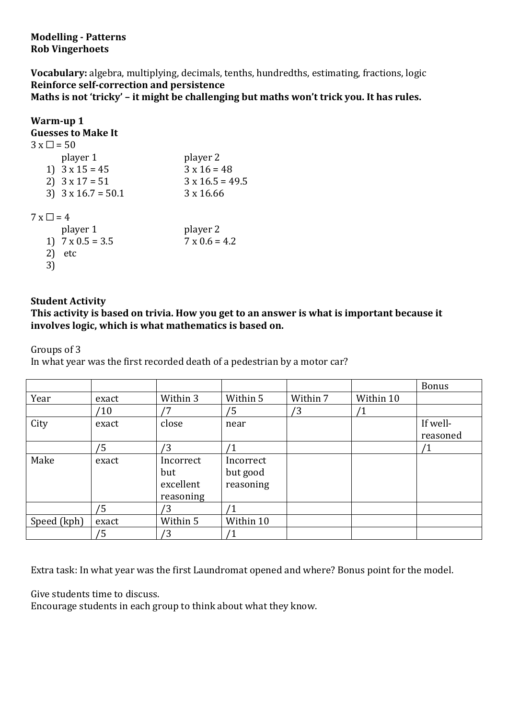**Modelling - Patterns Rob Vingerhoets**

**Vocabulary:** algebra, multiplying, decimals, tenths, hundredths, estimating, fractions, logic **Reinforce self-correction and persistence**

**Maths is not 'tricky' – it might be challenging but maths won't trick you. It has rules.**

| Warm-up 1                 |                        |
|---------------------------|------------------------|
| <b>Guesses to Make It</b> |                        |
| $3 \times \square = 50$   |                        |
| player 1                  | player 2               |
| 1) $3 \times 15 = 45$     | $3 \times 16 = 48$     |
| 2) $3 \times 17 = 51$     | $3 \times 16.5 = 49.5$ |
| 3) $3 \times 16.7 = 50.1$ | $3 \times 16.66$       |
| $7 \times \square = 4$    |                        |
| player 1                  | player 2               |
| 1) $7 \times 0.5 = 3.5$   | $7 \times 0.6 = 4.2$   |
| 2)<br>etc                 |                        |
| 3)                        |                        |

## **Student Activity**

## **This activity is based on trivia. How you get to an answer is what is important because it involves logic, which is what mathematics is based on.**

Groups of 3

In what year was the first recorded death of a pedestrian by a motor car?

|             |       |           |           |          |              | <b>Bonus</b> |
|-------------|-------|-----------|-----------|----------|--------------|--------------|
| Year        | exact | Within 3  | Within 5  | Within 7 | Within 10    |              |
|             | /10   | '7        | /5        | /3       | $^{\prime}1$ |              |
| City        | exact | close     | near      |          |              | If well-     |
|             |       |           |           |          |              | reasoned     |
|             | /5    | '3        |           |          |              | $\mathbf 1$  |
| Make        | exact | Incorrect | Incorrect |          |              |              |
|             |       | but       | but good  |          |              |              |
|             |       | excellent | reasoning |          |              |              |
|             |       | reasoning |           |          |              |              |
|             | /5    | ΄3        |           |          |              |              |
| Speed (kph) | exact | Within 5  | Within 10 |          |              |              |
|             | /5    | ′3        |           |          |              |              |

Extra task: In what year was the first Laundromat opened and where? Bonus point for the model.

Give students time to discuss.

Encourage students in each group to think about what they know.